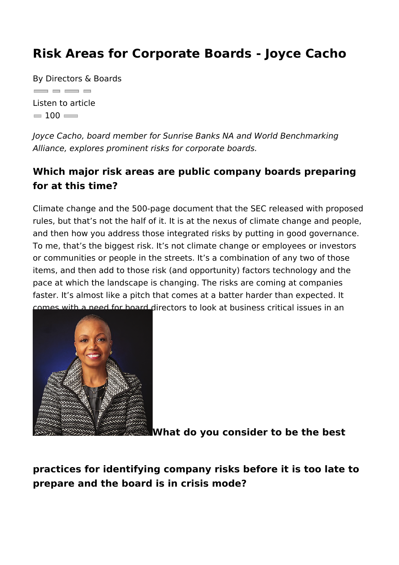## Risk Areas for Corporate Boards - Joyce C

By Directors & Boards  $\overline{\phantom{a}}$  and  $\overline{\phantom{a}}$  and  $\overline{\phantom{a}}$ Listen to article  $= 100$ 

Joyce Cacho, board member for Sunrise Banks NA and World Be Alliance, explores prominent risks for corporate boards.

Which major risk areas are public company boards pre for at this time?

Climate change and the 500-page document that the SEC releas rules, but that s not the half of it. It is at the nexus of climate and then how you address those integrated risks by putting in g To me, that s the biggest risk. It s not climate change or emplo or communities or people in the streets. It s a combination of a items, and then add to those risk (and opportunity) factors tech pace at which the landscape is changing. The risks are coming faster. It s almost like a pitch that comes at a batter harder than comes with a need for board directors to look at business critic integrative way.

What do you consider to be the best

practices for identifying company risks before it is too prepare and the board is in crisis mode?